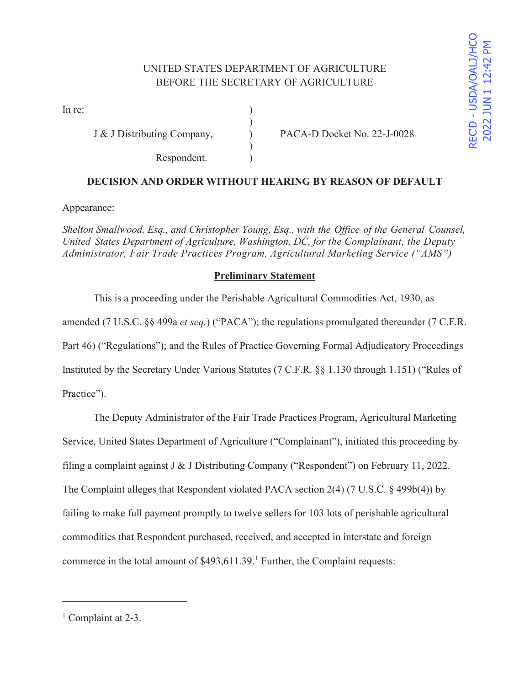# UNITED STATES DEPARTMENT OF AGRICULTURE BEFORE THE SECRETARY OF AGRICULTURE

)

 $\mathcal{L}$ 

In re:  $\qquad \qquad$  )

Respondent. )

J & J Distributing Company,  $PACA-D$  Docket No. 22-J-0028

## **DECISION AND ORDER WITHOUT HEARING BY REASON OF DEFAULT**

Appearance:

*Shelton Smallwood, Esq., and Christopher Young, Esq., with the Office of the General Counsel, United States Department of Agriculture, Washington, DC, for the Complainant, the Deputy Administrator, Fair Trade Practices Program, Agricultural Marketing Service ("AMS")* 

### **Preliminary Statement**

 This is a proceeding under the Perishable Agricultural Commodities Act, 1930, as amended (7 U.S.C. §§ 499a *et seq.*) ("PACA"); the regulations promulgated thereunder (7 C.F.R. Part 46) ("Regulations"); and the Rules of Practice Governing Formal Adjudicatory Proceedings Instituted by the Secretary Under Various Statutes (7 C.F.R. §§ 1.130 through 1.151) ("Rules of Practice").

 The Deputy Administrator of the Fair Trade Practices Program, Agricultural Marketing Service, United States Department of Agriculture ("Complainant"), initiated this proceeding by filing a complaint against J & J Distributing Company ("Respondent") on February 11, 2022. The Complaint alleges that Respondent violated PACA section 2(4) (7 U.S.C. § 499b(4)) by failing to make full payment promptly to twelve sellers for 103 lots of perishable agricultural commodities that Respondent purchased, received, and accepted in interstate and foreign commerce in the total amount of  $$493,611.39$ .<sup>1</sup> Further, the Complaint requests:

2022 JUN 1 12:42

<u>ק</u>

<sup>&</sup>lt;sup>1</sup> Complaint at 2-3.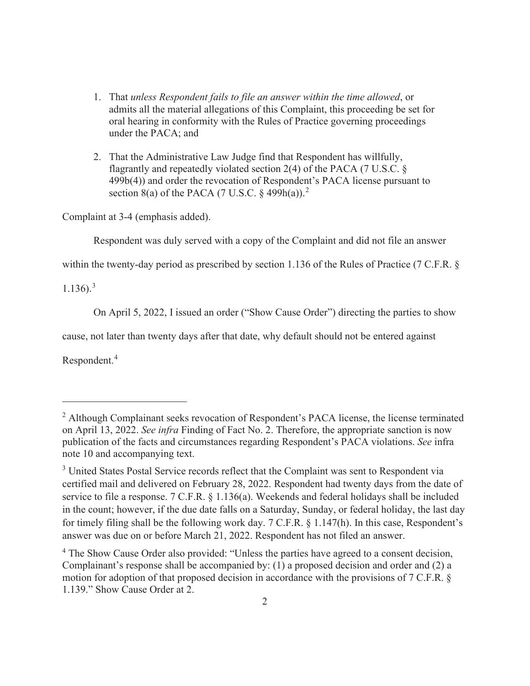- 1. That *unless Respondent fails to file an answer within the time allowed*, or admits all the material allegations of this Complaint, this proceeding be set for oral hearing in conformity with the Rules of Practice governing proceedings under the PACA; and
- 2. That the Administrative Law Judge find that Respondent has willfully, flagrantly and repeatedly violated section 2(4) of the PACA (7 U.S.C. § 499b(4)) and order the revocation of Respondent's PACA license pursuant to section 8(a) of the PACA (7 U.S.C.  $\frac{2}{9}$  499h(a)).<sup>2</sup>

Complaint at 3-4 (emphasis added).

Respondent was duly served with a copy of the Complaint and did not file an answer

within the twenty-day period as prescribed by section 1.136 of the Rules of Practice (7 C.F.R. §

 $1.136$ ).<sup>3</sup>

On April 5, 2022, I issued an order ("Show Cause Order") directing the parties to show

cause, not later than twenty days after that date, why default should not be entered against

Respondent.<sup>4</sup>

<sup>&</sup>lt;sup>2</sup> Although Complainant seeks revocation of Respondent's PACA license, the license terminated on April 13, 2022. *See infra* Finding of Fact No. 2. Therefore, the appropriate sanction is now publication of the facts and circumstances regarding Respondent's PACA violations. *See* infra note 10 and accompanying text.

<sup>&</sup>lt;sup>3</sup> United States Postal Service records reflect that the Complaint was sent to Respondent via certified mail and delivered on February 28, 2022. Respondent had twenty days from the date of service to file a response. 7 C.F.R. § 1.136(a). Weekends and federal holidays shall be included in the count; however, if the due date falls on a Saturday, Sunday, or federal holiday, the last day for timely filing shall be the following work day. 7 C.F.R. § 1.147(h). In this case, Respondent's answer was due on or before March 21, 2022. Respondent has not filed an answer.

<sup>&</sup>lt;sup>4</sup> The Show Cause Order also provided: "Unless the parties have agreed to a consent decision, Complainant's response shall be accompanied by: (1) a proposed decision and order and (2) a motion for adoption of that proposed decision in accordance with the provisions of 7 C.F.R. § 1.139." Show Cause Order at 2.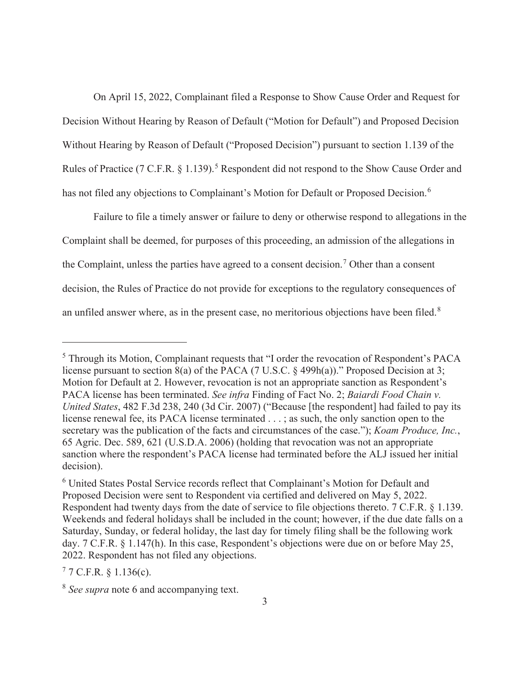On April 15, 2022, Complainant filed a Response to Show Cause Order and Request for Decision Without Hearing by Reason of Default ("Motion for Default") and Proposed Decision Without Hearing by Reason of Default ("Proposed Decision") pursuant to section 1.139 of the Rules of Practice (7 C.F.R.  $\S$  1.139).<sup>5</sup> Respondent did not respond to the Show Cause Order and has not filed any objections to Complainant's Motion for Default or Proposed Decision.<sup>6</sup>

 Failure to file a timely answer or failure to deny or otherwise respond to allegations in the Complaint shall be deemed, for purposes of this proceeding, an admission of the allegations in the Complaint, unless the parties have agreed to a consent decision.<sup>7</sup> Other than a consent decision, the Rules of Practice do not provide for exceptions to the regulatory consequences of an unfiled answer where, as in the present case, no meritorious objections have been filed.<sup>8</sup>

<sup>&</sup>lt;sup>5</sup> Through its Motion, Complainant requests that "I order the revocation of Respondent's PACA license pursuant to section 8(a) of the PACA (7 U.S.C. § 499h(a))." Proposed Decision at 3; Motion for Default at 2. However, revocation is not an appropriate sanction as Respondent's PACA license has been terminated. *See infra* Finding of Fact No. 2; *Baiardi Food Chain v. United States*, 482 F.3d 238, 240 (3d Cir. 2007) ("Because [the respondent] had failed to pay its license renewal fee, its PACA license terminated . . . ; as such, the only sanction open to the secretary was the publication of the facts and circumstances of the case."); *Koam Produce, Inc.*, 65 Agric. Dec. 589, 621 (U.S.D.A. 2006) (holding that revocation was not an appropriate sanction where the respondent's PACA license had terminated before the ALJ issued her initial decision).

<sup>&</sup>lt;sup>6</sup> United States Postal Service records reflect that Complainant's Motion for Default and Proposed Decision were sent to Respondent via certified and delivered on May 5, 2022. Respondent had twenty days from the date of service to file objections thereto. 7 C.F.R. § 1.139. Weekends and federal holidays shall be included in the count; however, if the due date falls on a Saturday, Sunday, or federal holiday, the last day for timely filing shall be the following work day. 7 C.F.R. § 1.147(h). In this case, Respondent's objections were due on or before May 25, 2022. Respondent has not filed any objections.

 $77$  C.F.R. § 1.136(c).

<sup>8</sup> *See supra* note 6 and accompanying text.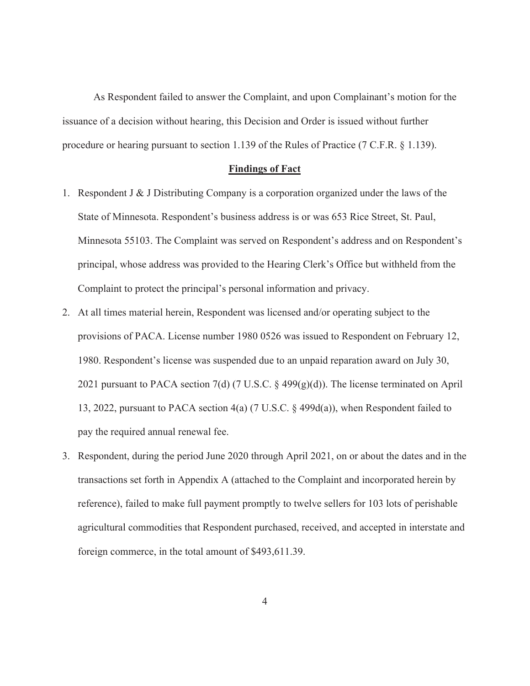As Respondent failed to answer the Complaint, and upon Complainant's motion for the issuance of a decision without hearing, this Decision and Order is issued without further procedure or hearing pursuant to section 1.139 of the Rules of Practice (7 C.F.R. § 1.139).

#### **Findings of Fact**

- 1. Respondent J & J Distributing Company is a corporation organized under the laws of the State of Minnesota. Respondent's business address is or was 653 Rice Street, St. Paul, Minnesota 55103. The Complaint was served on Respondent's address and on Respondent's principal, whose address was provided to the Hearing Clerk's Office but withheld from the Complaint to protect the principal's personal information and privacy.
- 2. At all times material herein, Respondent was licensed and/or operating subject to the provisions of PACA. License number 1980 0526 was issued to Respondent on February 12, 1980. Respondent's license was suspended due to an unpaid reparation award on July 30, 2021 pursuant to PACA section 7(d) (7 U.S.C. § 499(g)(d)). The license terminated on April 13, 2022, pursuant to PACA section 4(a) (7 U.S.C. § 499d(a)), when Respondent failed to pay the required annual renewal fee.
- 3. Respondent, during the period June 2020 through April 2021, on or about the dates and in the transactions set forth in Appendix A (attached to the Complaint and incorporated herein by reference), failed to make full payment promptly to twelve sellers for 103 lots of perishable agricultural commodities that Respondent purchased, received, and accepted in interstate and foreign commerce, in the total amount of \$493,611.39.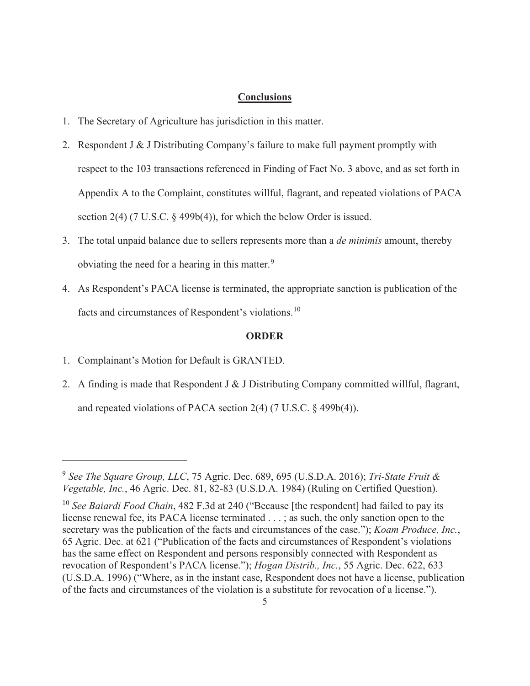#### **Conclusions**

- 1. The Secretary of Agriculture has jurisdiction in this matter.
- 2. Respondent J & J Distributing Company's failure to make full payment promptly with respect to the 103 transactions referenced in Finding of Fact No. 3 above, and as set forth in Appendix A to the Complaint, constitutes willful, flagrant, and repeated violations of PACA section 2(4) (7 U.S.C. § 499b(4)), for which the below Order is issued.
- 3. The total unpaid balance due to sellers represents more than a *de minimis* amount, thereby obviating the need for a hearing in this matter.<sup>9</sup>
- 4. As Respondent's PACA license is terminated, the appropriate sanction is publication of the facts and circumstances of Respondent's violations.<sup>10</sup>

#### **ORDER**

- 1. Complainant's Motion for Default is GRANTED.
- 2. A finding is made that Respondent J & J Distributing Company committed willful, flagrant, and repeated violations of PACA section 2(4) (7 U.S.C. § 499b(4)).

<sup>9</sup> *See The Square Group, LLC*, 75 Agric. Dec. 689, 695 (U.S.D.A. 2016); *Tri-State Fruit & Vegetable, Inc.*, 46 Agric. Dec. 81, 82-83 (U.S.D.A. 1984) (Ruling on Certified Question).

<sup>&</sup>lt;sup>10</sup> *See Baiardi Food Chain*, 482 F.3d at 240 ("Because [the respondent] had failed to pay its license renewal fee, its PACA license terminated . . . ; as such, the only sanction open to the secretary was the publication of the facts and circumstances of the case."); *Koam Produce, Inc.*, 65 Agric. Dec. at 621 ("Publication of the facts and circumstances of Respondent's violations has the same effect on Respondent and persons responsibly connected with Respondent as revocation of Respondent's PACA license."); *Hogan Distrib., Inc.*, 55 Agric. Dec. 622, 633 (U.S.D.A. 1996) ("Where, as in the instant case, Respondent does not have a license, publication of the facts and circumstances of the violation is a substitute for revocation of a license.").